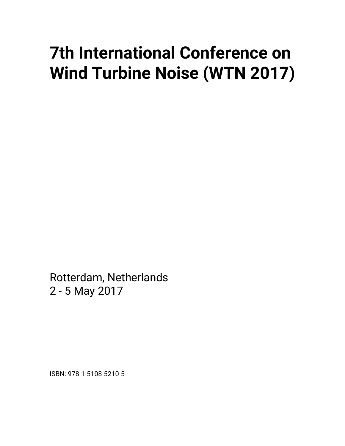# **7th International Conference on Wind Turbine Noise (WTN 2017)**

Rotterdam, Netherlands 2 - 5 May 2017

ISBN: 978-1-5108-5210-5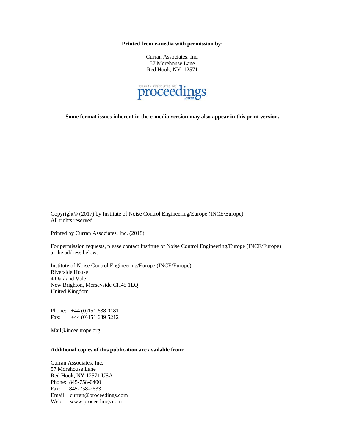**Printed from e-media with permission by:** 

Curran Associates, Inc. 57 Morehouse Lane Red Hook, NY 12571



**Some format issues inherent in the e-media version may also appear in this print version.** 

Copyright© (2017) by Institute of Noise Control Engineering/Europe (INCE/Europe) All rights reserved.

Printed by Curran Associates, Inc. (2018)

For permission requests, please contact Institute of Noise Control Engineering/Europe (INCE/Europe) at the address below.

Institute of Noise Control Engineering/Europe (INCE/Europe) Riverside House 4 Oakland Vale New Brighton, Merseyside CH45 1LQ United Kingdom

Phone: +44 (0)151 638 0181 Fax: +44 (0)151 639 5212

Mail@inceeurope.org

#### **Additional copies of this publication are available from:**

Curran Associates, Inc. 57 Morehouse Lane Red Hook, NY 12571 USA Phone: 845-758-0400 Fax: 845-758-2633 Email: curran@proceedings.com Web: www.proceedings.com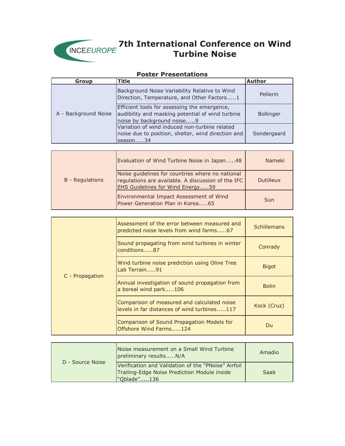

| ר טאנכו והוכאכוונמנוטווא                                                                                                                   | <b>Author</b>                                                 |
|--------------------------------------------------------------------------------------------------------------------------------------------|---------------------------------------------------------------|
|                                                                                                                                            |                                                               |
| Background Noise Variability Relative to Wind<br>Direction, Temperature, and Other Factors1                                                | Pellerin                                                      |
| Efficient tools for assessing the emergence,<br>audibility and masking potential of wind turbine<br>noise by background noise9             | Bollinger                                                     |
| noise due to position, shelter, wind direction and<br>season34                                                                             | Sondergaard                                                   |
|                                                                                                                                            |                                                               |
| Evaluation of Wind Turbine Noise in Japan48                                                                                                | Nameki                                                        |
| Noise guidelines for countries where no national<br>regulations are available. A discussion of the IFC<br>EHS Guidelines for Wind Energy59 | <b>Dutilleux</b>                                              |
| Environmental Impact Assessment of Wind<br>Power Generation Plan in Korea65                                                                | Sun                                                           |
|                                                                                                                                            |                                                               |
| Assessment of the error between measured and<br>predicted noise levels from wind farms67                                                   | <b>Schillemans</b>                                            |
| Sound propagating from wind turbines in winter<br>conditions87                                                                             | Conrady                                                       |
| Wind turbine noise prediction using Olive Tree<br>Lab Terrain91                                                                            | <b>Bigot</b>                                                  |
| Annual investigation of sound propagation from<br>a boreal wind park106                                                                    | <b>Bolin</b>                                                  |
| Comparison of measured and calculated noise<br>levels in far distances of wind turbines117                                                 | Kock (Cruz)                                                   |
| Comparison of Sound Propagation Models for<br>Offshore Wind Farms124                                                                       | Du                                                            |
|                                                                                                                                            | <b>Title</b><br>Variation of wind induced non-turbine related |

#### **Poster Presentations**

| D - Source Noise | Noise measurement on a Small Wind Turbine<br>preliminary resultsN/A                                                | Amadio |
|------------------|--------------------------------------------------------------------------------------------------------------------|--------|
|                  | Verification and Validation of the "PNoise" Airfoil<br>Trailing-Edge Noise Prediction Module inside<br>"Oblade"136 | Saab   |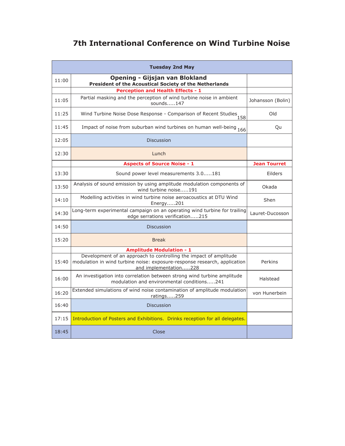| <b>Tuesday 2nd May</b> |                                                                                                                                                                         |                     |
|------------------------|-------------------------------------------------------------------------------------------------------------------------------------------------------------------------|---------------------|
| 11:00                  | <b>Opening - Gijsjan van Blokland</b><br>President of the Acoustical Society of the Netherlands                                                                         |                     |
|                        | <b>Perception and Health Effects - 1</b>                                                                                                                                |                     |
| 11:05                  | Partial masking and the perception of wind turbine noise in ambient<br>sounds147                                                                                        | Johansson (Bolin)   |
| 11:25                  | Wind Turbine Noise Dose Response - Comparison of Recent Studies                                                                                                         | <b>blO</b>          |
| 11:45                  | Impact of noise from suburban wind turbines on human well-being 166                                                                                                     | Qu                  |
| 12:05                  | <b>Discussion</b>                                                                                                                                                       |                     |
| 12:30                  | Lunch                                                                                                                                                                   |                     |
|                        | <b>Aspects of Source Noise - 1</b>                                                                                                                                      | <b>Jean Tourret</b> |
| 13:30                  | Sound power level measurements 3.0181                                                                                                                                   | Eilders             |
| 13:50                  | Analysis of sound emission by using amplitude modulation components of<br>wind turbine noise191                                                                         | Okada               |
| 14:10                  | Modelling activities in wind turbine noise aeroacoustics at DTU Wind<br>Energy201                                                                                       | Shen                |
| 14:30                  | Long-term experimental campaign on an operating wind turbine for trailing<br>edge serrations verification215                                                            | Lauret-Ducosson     |
| 14:50                  | <b>Discussion</b>                                                                                                                                                       |                     |
| 15:20                  | <b>Break</b>                                                                                                                                                            |                     |
|                        | <b>Amplitude Modulation - 1</b>                                                                                                                                         |                     |
| 15:40                  | Development of an approach to controlling the impact of amplitude<br>modulation in wind turbine noise: exposure-response research, application<br>and implementation228 | Perkins             |
| 16:00                  | An investigation into correlation between strong wind turbine amplitude<br>modulation and environmental conditions241                                                   | Halstead            |
| 16:20                  | Extended simulations of wind noise contamination of amplitude modulation<br>ratings259                                                                                  | von Hunerbein       |
| 16:40                  | <b>Discussion</b>                                                                                                                                                       |                     |
| 17:15                  | Introduction of Posters and Exhibitions. Drinks reception for all delegates.                                                                                            |                     |
| 18:45                  | Close                                                                                                                                                                   |                     |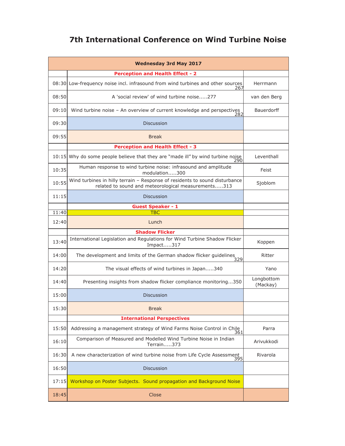| <b>Wednesday 3rd May 2017</b> |                                                                                                                                    |                        |
|-------------------------------|------------------------------------------------------------------------------------------------------------------------------------|------------------------|
|                               | <b>Perception and Health Effect - 2</b>                                                                                            |                        |
|                               | 08:30 Low-frequency noise incl. infrasound from wind turbines and other sources<br>267                                             | Herrmann               |
| 08:50                         | A 'social review' of wind turbine noise277                                                                                         | van den Berg           |
| 09:10                         | Wind turbine noise - An overview of current knowledge and perspectives<br>282                                                      | <b>Bauerdorff</b>      |
| 09:30                         | <b>Discussion</b>                                                                                                                  |                        |
| 09:55                         | <b>Break</b>                                                                                                                       |                        |
|                               | <b>Perception and Health Effect - 3</b>                                                                                            |                        |
|                               | 10:15 Why do some people believe that they are "made ill" by wind turbine noise $\frac{290}{290}$                                  | Leventhall             |
| 10:35                         | Human response to wind turbine noise: infrasound and amplitude<br>modulation300                                                    | Feist                  |
| 10:55                         | Wind turbines in hilly terrain - Response of residents to sound disturbance<br>related to sound and meteorological measurements313 | Sjoblom                |
| 11:15                         | <b>Discussion</b>                                                                                                                  |                        |
|                               | <b>Guest Speaker - 1</b>                                                                                                           |                        |
| 11:40                         | <b>TBC</b>                                                                                                                         |                        |
| 12:40                         | Lunch                                                                                                                              |                        |
|                               | <b>Shadow Flicker</b>                                                                                                              |                        |
| 13:40                         | International Legislation and Regulations for Wind Turbine Shadow Flicker<br>Impact317                                             | Koppen                 |
| 14:00                         | The development and limits of the German shadow flicker guidelines<br>329                                                          | Ritter                 |
| 14:20                         | The visual effects of wind turbines in Japan340                                                                                    | Yano                   |
| 14:40                         | Presenting insights from shadow flicker compliance monitoring350                                                                   | Longbottom<br>(Mackay) |
| 15:00                         | <b>Discussion</b>                                                                                                                  |                        |
| 15:30                         | <b>Break</b>                                                                                                                       |                        |
|                               | <b>International Perspectives</b>                                                                                                  |                        |
| 15:50                         | Addressing a management strategy of Wind Farms Noise Control in Chile<br>361                                                       | Parra                  |
| 16:10                         | Comparison of Measured and Modelled Wind Turbine Noise in Indian<br>Terrain373                                                     | Arivukkodi             |
| 16:30                         | A new characterization of wind turbine noise from Life Cycle Assessment<br>395                                                     | Rivarola               |
| 16:50                         | <b>Discussion</b>                                                                                                                  |                        |
| 17:15                         | Workshop on Poster Subjects. Sound propagation and Background Noise                                                                |                        |
| 18:45                         | Close                                                                                                                              |                        |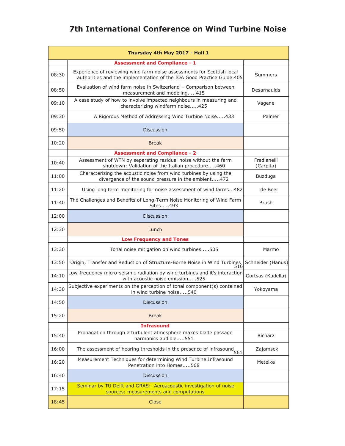|       | Thursday 4th May 2017 - Hall 1                                                                                                                  |                          |
|-------|-------------------------------------------------------------------------------------------------------------------------------------------------|--------------------------|
|       | <b>Assessment and Compliance - 1</b>                                                                                                            |                          |
| 08:30 | Experience of reviewing wind farm noise assessments for Scottish local<br>authorities and the implementation of the IOA Good Practice Guide.405 | Summers                  |
| 08:50 | Evaluation of wind farm noise in Switzerland - Comparison between<br>measurement and modeling415                                                | Desarnaulds              |
| 09:10 | A case study of how to involve impacted neighbours in measuring and<br>characterizing windfarm noise425                                         | Vagene                   |
| 09:30 | A Rigorous Method of Addressing Wind Turbine Noise433                                                                                           | Palmer                   |
| 09:50 | <b>Discussion</b>                                                                                                                               |                          |
| 10:20 | <b>Break</b>                                                                                                                                    |                          |
|       | <b>Assessment and Compliance - 2</b>                                                                                                            |                          |
| 10:40 | Assessment of WTN by separating residual noise without the farm<br>shutdown: Validation of the Italian procedure460                             | Fredianelli<br>(Carpita) |
| 11:00 | Characterizing the acoustic noise from wind turbines by using the<br>divergence of the sound pressure in the ambient472                         | Buzduga                  |
| 11:20 | Using long term monitoring for noise assessment of wind farms482                                                                                | de Beer                  |
| 11:40 | The Challenges and Benefits of Long-Term Noise Monitoring of Wind Farm<br>Sites493                                                              | Brush                    |
| 12:00 | <b>Discussion</b>                                                                                                                               |                          |
| 12:30 | Lunch                                                                                                                                           |                          |
|       | <b>Low Frequency and Tones</b>                                                                                                                  |                          |
| 13:30 | Tonal noise mitigation on wind turbines505                                                                                                      | Marmo                    |
| 13:50 | Origin, Transfer and Reduction of Structure-Borne Noise in Wind Turbines<br>516                                                                 | Schneider (Hanus)        |
| 14:10 | Low-frequency micro-seismic radiation by wind turbines and it's interaction<br>with acoustic noise emission525                                  | Gortsas (Kudella)        |
| 14:30 | Subjective experiments on the perception of tonal component(s) contained<br>in wind turbine noise540                                            | Yokoyama                 |
| 14:50 | <b>Discussion</b>                                                                                                                               |                          |
| 15:20 | <b>Break</b>                                                                                                                                    |                          |
|       | <b>Infrasound</b>                                                                                                                               |                          |
| 15:40 | Propagation through a turbulent atmosphere makes blade passage<br>harmonics audible551                                                          | Richarz                  |
| 16:00 | The assessment of hearing thresholds in the presence of infrasound 561                                                                          | Zajamsek                 |
| 16:20 | Measurement Techniques for determining Wind Turbine Infrasound<br>Penetration into Homes568                                                     | Metelka                  |
| 16:40 | <b>Discussion</b>                                                                                                                               |                          |
| 17:15 | Seminar by TU Delft and GRAS: Aeroacoustic investigation of noise<br>sources: measurements and computations                                     |                          |
| 18:45 | Close                                                                                                                                           |                          |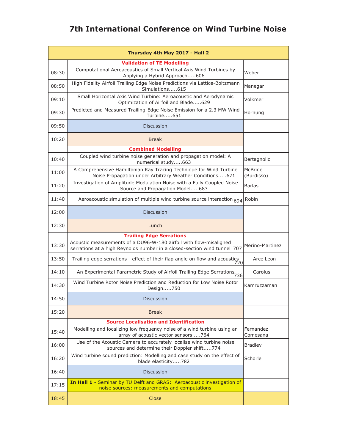| Thursday 4th May 2017 - Hall 2 |                                                                                                                                                |                       |
|--------------------------------|------------------------------------------------------------------------------------------------------------------------------------------------|-----------------------|
|                                | <b>Validation of TE Modelling</b>                                                                                                              |                       |
| 08:30                          | Computational Aeroacoustics of Small Vertical Axis Wind Turbines by<br>Applying a Hybrid Approach606                                           | Weber                 |
| 08:50                          | High Fidelity Airfoil Trailing Edge Noise Predictions via Lattice-Boltzmann<br>Simulations615                                                  | Manegar               |
| 09:10                          | Small Horizontal Axis Wind Turbine: Aeroacoustic and Aerodynamic<br>Optimization of Airfoil and Blade629                                       | Volkmer               |
| 09:30                          | Predicted and Measured Trailing-Edge Noise Emission for a 2.3 MW Wind<br>Turbine651                                                            | Hornung               |
| 09:50                          | <b>Discussion</b>                                                                                                                              |                       |
| 10:20                          | <b>Break</b>                                                                                                                                   |                       |
|                                | <b>Combined Modelling</b>                                                                                                                      |                       |
| 10:40                          | Coupled wind turbine noise generation and propagation model: A<br>numerical study663                                                           | Bertagnolio           |
| 11:00                          | A Comprehensive Hamiltonian Ray Tracing Technique for Wind Turbine<br>Noise Propagation under Arbitrary Weather Conditions671                  | McBride<br>(Burdisso) |
| 11:20                          | Investigation of Amplitude Modulation Noise with a Fully Coupled Noise<br>Source and Propagation Model683                                      | <b>Barlas</b>         |
| 11:40                          | Aeroacoustic simulation of multiple wind turbine source interaction 694                                                                        | Robin                 |
| 12:00                          | <b>Discussion</b>                                                                                                                              |                       |
| 12:30                          | Lunch                                                                                                                                          |                       |
|                                | <b>Trailing Edge Serrations</b>                                                                                                                |                       |
| 13:30                          | Acoustic measurements of a DU96-W-180 airfoil with flow-misaligned<br>serrations at a high Reynolds number in a closed-section wind tunnel 707 | Merino-Martinez       |
| 13:50                          | Trailing edge serrations - effect of their flap angle on flow and acoustics<br>720                                                             | Arce Leon             |
| 14:10                          | An Experimental Parametric Study of Airfoil Trailing Edge Serrations <sub>736</sub>                                                            | Carolus               |
| 14:30                          | Wind Turbine Rotor Noise Prediction and Reduction for Low Noise Rotor<br>Design750                                                             | Kamruzzaman           |
| 14:50                          | Discussion                                                                                                                                     |                       |
| 15:20                          | <b>Break</b>                                                                                                                                   |                       |
|                                | <b>Source Localisation and Identification</b>                                                                                                  |                       |
| 15:40                          | Modelling and localizing low frequency noise of a wind turbine using an<br>array of acoustic vector sensors764                                 | Fernandez<br>Comesana |
| 16:00                          | Use of the Acoustic Camera to accurately localise wind turbine noise<br>sources and determine their Doppler shift774                           | <b>Bradley</b>        |
| 16:20                          | Wind turbine sound prediction: Modelling and case study on the effect of<br>blade elasticity782                                                | Schorle               |
| 16:40                          | <b>Discussion</b>                                                                                                                              |                       |
| 17:15                          | In Hall 1 - Seminar by TU Delft and GRAS: Aeroacoustic investigation of<br>noise sources: measurements and computations                        |                       |
| 18:45                          | Close                                                                                                                                          |                       |